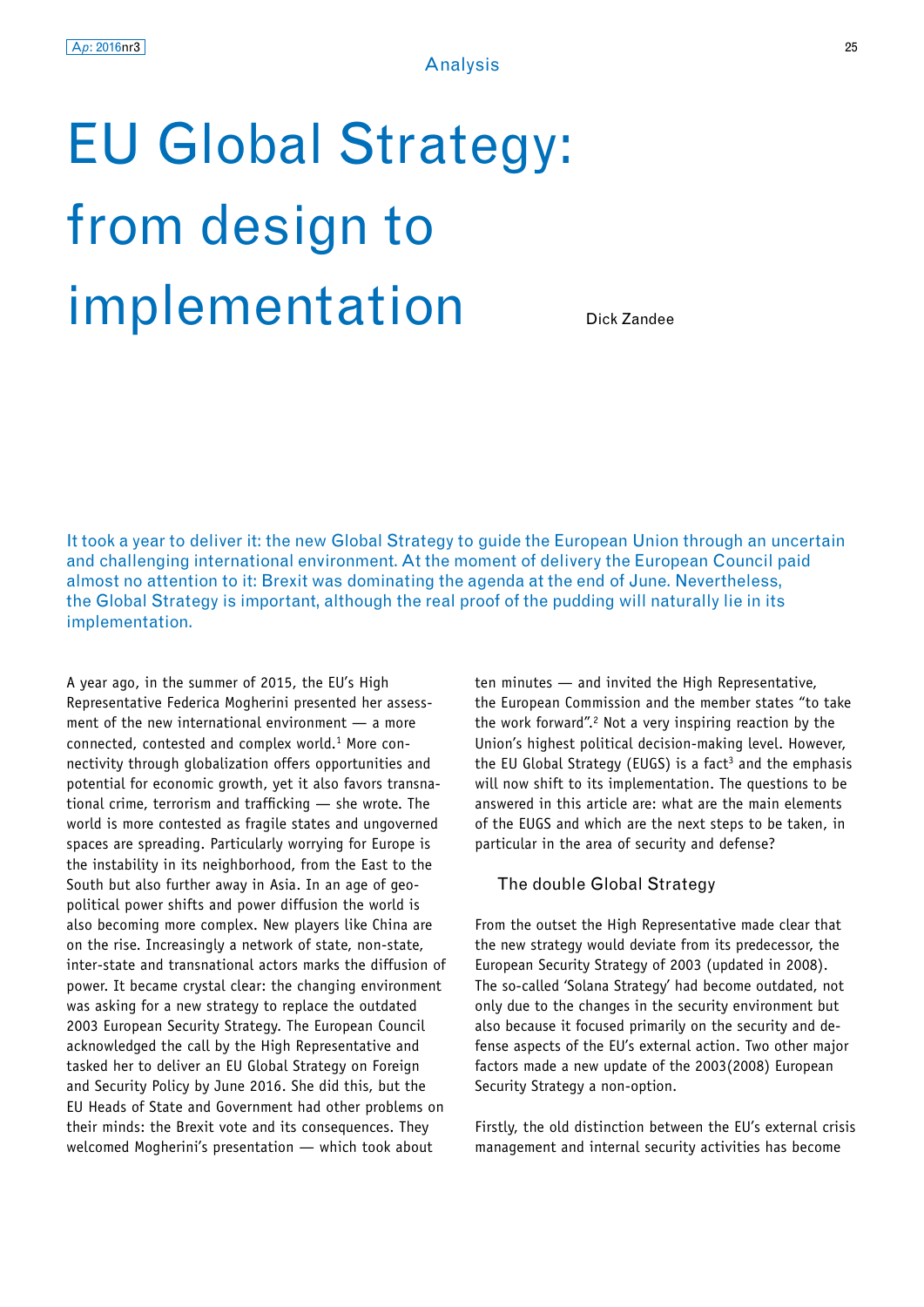# EU Global Strategy: from design to implementation

Dick Zandee

It took a year to deliver it: the new Global Strategy to guide the European Union through an uncertain and challenging international environment. At the moment of delivery the European Council paid almost no attention to it: Brexit was dominating the agenda at the end of June. Nevertheless, the Global Strategy is important, although the real proof of the pudding will naturally lie in its implementation.

A year ago, in the summer of 2015, the EU's High Representative Federica Mogherini presented her assessment of the new international environment — a more connected, contested and complex world.1 More connectivity through globalization offers opportunities and potential for economic growth, yet it also favors transnational crime, terrorism and trafficking — she wrote. The world is more contested as fragile states and ungoverned spaces are spreading. Particularly worrying for Europe is the instability in its neighborhood, from the East to the South but also further away in Asia. In an age of geopolitical power shifts and power diffusion the world is also becoming more complex. New players like China are on the rise. Increasingly a network of state, non-state, inter-state and transnational actors marks the diffusion of power. It became crystal clear: the changing environment was asking for a new strategy to replace the outdated 2003 European Security Strategy. The European Council acknowledged the call by the High Representative and tasked her to deliver an EU Global Strategy on Foreign and Security Policy by June 2016. She did this, but the EU Heads of State and Government had other problems on their minds: the Brexit vote and its consequences. They welcomed Mogherini's presentation — which took about

ten minutes — and invited the High Representative, the European Commission and the member states "to take the work forward".2 Not a very inspiring reaction by the Union's highest political decision-making level. However, the EU Global Strategy (EUGS) is a fact<sup>3</sup> and the emphasis will now shift to its implementation. The questions to be answered in this article are: what are the main elements of the EUGS and which are the next steps to be taken, in particular in the area of security and defense?

#### The double Global Strategy

From the outset the High Representative made clear that the new strategy would deviate from its predecessor, the European Security Strategy of 2003 (updated in 2008). The so-called 'Solana Strategy' had become outdated, not only due to the changes in the security environment but also because it focused primarily on the security and defense aspects of the EU's external action. Two other major factors made a new update of the 2003(2008) European Security Strategy a non-option.

Firstly, the old distinction between the EU's external crisis management and internal security activities has become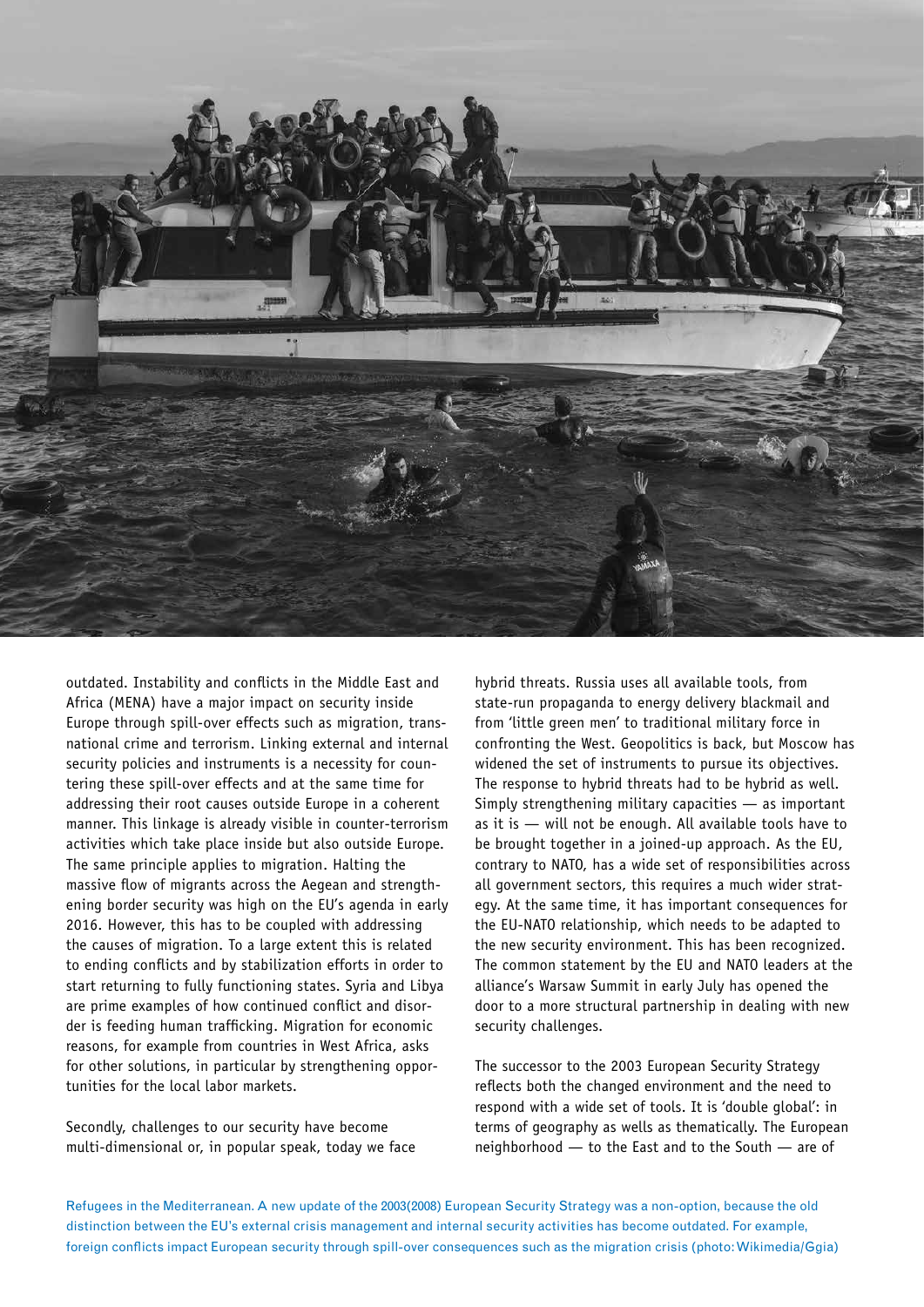

outdated. Instability and conflicts in the Middle East and Africa (MENA) have a major impact on security inside Europe through spill-over effects such as migration, transnational crime and terrorism. Linking external and internal security policies and instruments is a necessity for countering these spill-over effects and at the same time for addressing their root causes outside Europe in a coherent manner. This linkage is already visible in counter-terrorism activities which take place inside but also outside Europe. The same principle applies to migration. Halting the massive flow of migrants across the Aegean and strengthening border security was high on the EU's agenda in early 2016. However, this has to be coupled with addressing the causes of migration. To a large extent this is related to ending conflicts and by stabilization efforts in order to start returning to fully functioning states. Syria and Libya are prime examples of how continued conflict and disorder is feeding human trafficking. Migration for economic reasons, for example from countries in West Africa, asks for other solutions, in particular by strengthening opportunities for the local labor markets.

Secondly, challenges to our security have become multi-dimensional or, in popular speak, today we face

hybrid threats. Russia uses all available tools, from state-run propaganda to energy delivery blackmail and from 'little green men' to traditional military force in confronting the West. Geopolitics is back, but Moscow has widened the set of instruments to pursue its objectives. The response to hybrid threats had to be hybrid as well. Simply strengthening military capacities — as important as it is — will not be enough. All available tools have to be brought together in a joined-up approach. As the EU, contrary to NATO, has a wide set of responsibilities across all government sectors, this requires a much wider strategy. At the same time, it has important consequences for the EU-NATO relationship, which needs to be adapted to the new security environment. This has been recognized. The common statement by the EU and NATO leaders at the alliance's Warsaw Summit in early July has opened the door to a more structural partnership in dealing with new security challenges.

The successor to the 2003 European Security Strategy reflects both the changed environment and the need to respond with a wide set of tools. It is 'double global': in terms of geography as wells as thematically. The European neighborhood — to the East and to the South — are of

Refugees in the Mediterranean. A new update of the 2003(2008) European Security Strategy was a non-option, because the old distinction between the EU's external crisis management and internal security activities has become outdated. For example, foreign conflicts impact European security through spill-over consequences such as the migration crisis (photo: Wikimedia/Ggia)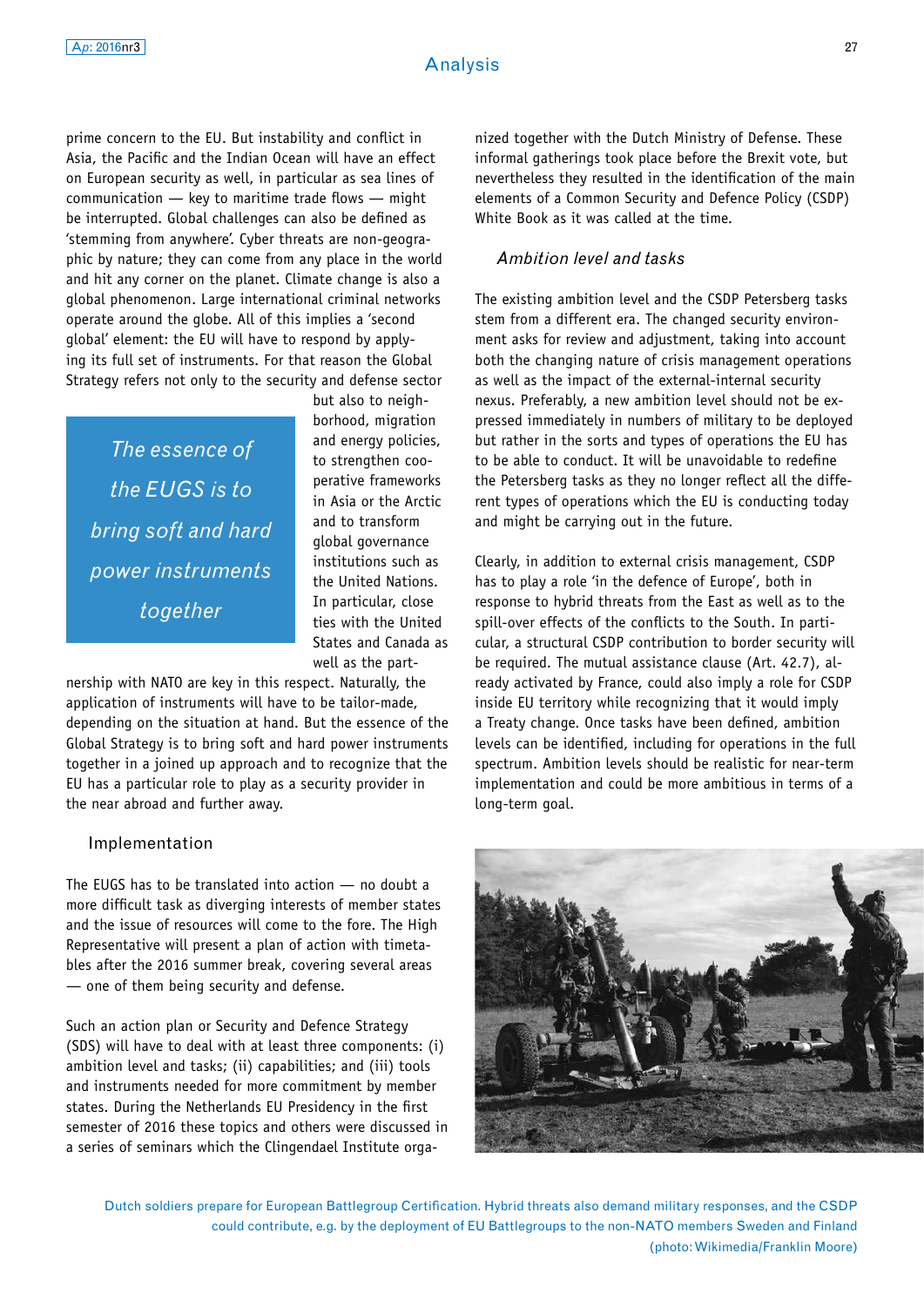prime concern to the EU. But instability and conflict in Asia, the Pacific and the Indian Ocean will have an effect on European security as well, in particular as sea lines of communication — key to maritime trade flows — might be interrupted. Global challenges can also be defined as 'stemming from anywhere'. Cyber threats are non-geographic by nature; they can come from any place in the world and hit any corner on the planet. Climate change is also a global phenomenon. Large international criminal networks operate around the globe. All of this implies a 'second global' element: the EU will have to respond by applying its full set of instruments. For that reason the Global Strategy refers not only to the security and defense sector

*The essence of the EUGS is to bring soft and hard power instruments together*

but also to neighborhood, migration and energy policies, to strengthen cooperative frameworks in Asia or the Arctic and to transform global governance institutions such as the United Nations. In particular, close ties with the United States and Canada as well as the part-

nership with NATO are key in this respect. Naturally, the application of instruments will have to be tailor-made, depending on the situation at hand. But the essence of the Global Strategy is to bring soft and hard power instruments together in a joined up approach and to recognize that the EU has a particular role to play as a security provider in the near abroad and further away.

#### Implementation

The EUGS has to be translated into action — no doubt a more difficult task as diverging interests of member states and the issue of resources will come to the fore. The High Representative will present a plan of action with timetables after the 2016 summer break, covering several areas — one of them being security and defense.

Such an action plan or Security and Defence Strategy (SDS) will have to deal with at least three components: (i) ambition level and tasks; (ii) capabilities; and (iii) tools and instruments needed for more commitment by member states. During the Netherlands EU Presidency in the first semester of 2016 these topics and others were discussed in a series of seminars which the Clingendael Institute orga-

nized together with the Dutch Ministry of Defense. These informal gatherings took place before the Brexit vote, but nevertheless they resulted in the identification of the main elements of a Common Security and Defence Policy (CSDP) White Book as it was called at the time.

### *Ambition level and tasks*

The existing ambition level and the CSDP Petersberg tasks stem from a different era. The changed security environment asks for review and adjustment, taking into account both the changing nature of crisis management operations as well as the impact of the external-internal security nexus. Preferably, a new ambition level should not be expressed immediately in numbers of military to be deployed but rather in the sorts and types of operations the EU has to be able to conduct. It will be unavoidable to redefine the Petersberg tasks as they no longer reflect all the different types of operations which the EU is conducting today and might be carrying out in the future.

Clearly, in addition to external crisis management, CSDP has to play a role 'in the defence of Europe', both in response to hybrid threats from the East as well as to the spill-over effects of the conflicts to the South. In particular, a structural CSDP contribution to border security will be required. The mutual assistance clause (Art. 42.7), already activated by France, could also imply a role for CSDP inside EU territory while recognizing that it would imply a Treaty change. Once tasks have been defined, ambition levels can be identified, including for operations in the full spectrum. Ambition levels should be realistic for near-term implementation and could be more ambitious in terms of a long-term goal.



Dutch soldiers prepare for European Battlegroup Certification. Hybrid threats also demand military responses, and the CSDP could contribute, e.g. by the deployment of EU Battlegroups to the non-NATO members Sweden and Finland (photo: Wikimedia/Franklin Moore)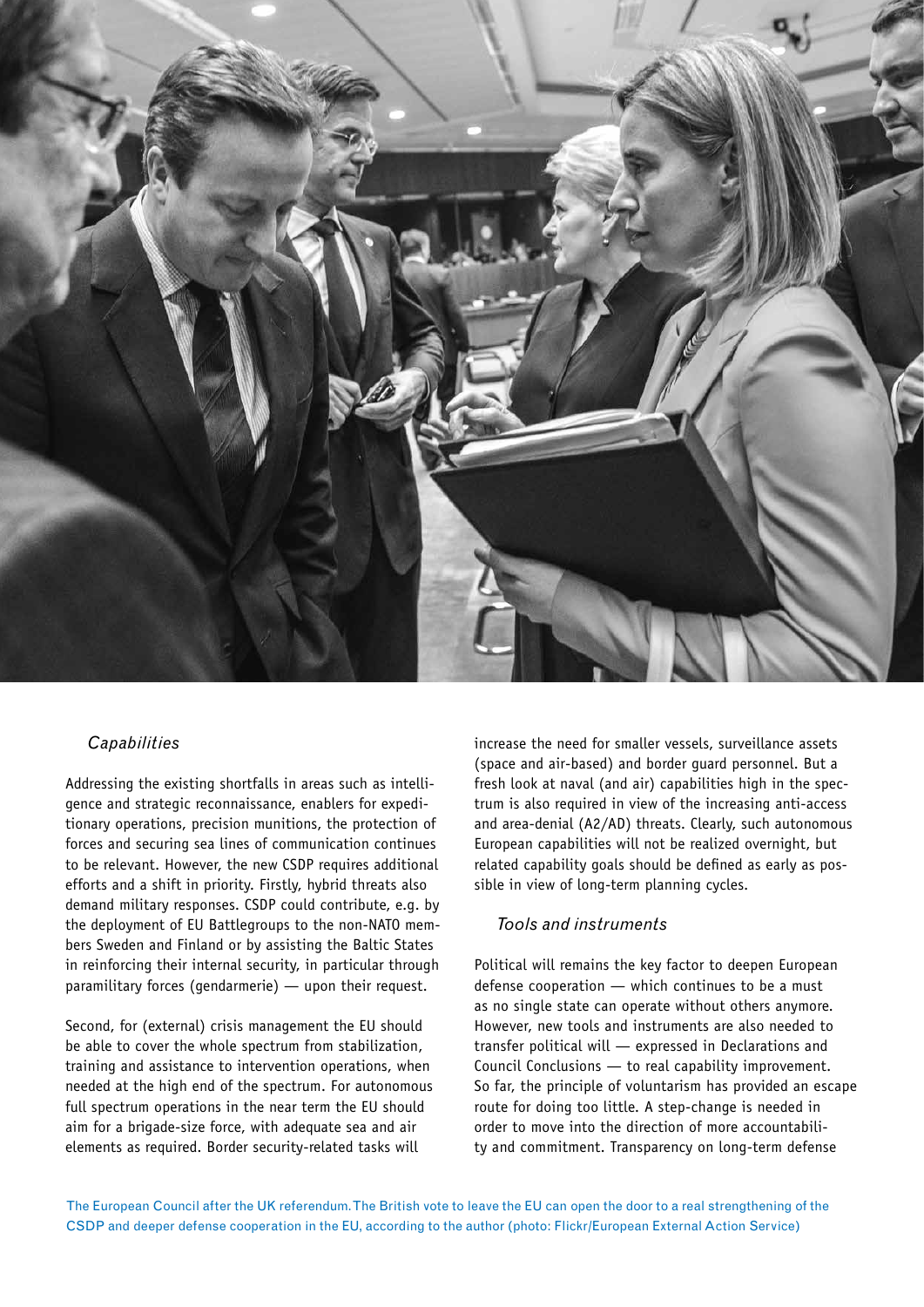

## *Capabilities*

Addressing the existing shortfalls in areas such as intelligence and strategic reconnaissance, enablers for expeditionary operations, precision munitions, the protection of forces and securing sea lines of communication continues to be relevant. However, the new CSDP requires additional efforts and a shift in priority. Firstly, hybrid threats also demand military responses. CSDP could contribute, e.g. by the deployment of EU Battlegroups to the non-NATO members Sweden and Finland or by assisting the Baltic States in reinforcing their internal security, in particular through paramilitary forces (gendarmerie) — upon their request.

Second, for (external) crisis management the EU should be able to cover the whole spectrum from stabilization, training and assistance to intervention operations, when needed at the high end of the spectrum. For autonomous full spectrum operations in the near term the EU should aim for a brigade-size force, with adequate sea and air elements as required. Border security-related tasks will

increase the need for smaller vessels, surveillance assets (space and air-based) and border guard personnel. But a fresh look at naval (and air) capabilities high in the spectrum is also required in view of the increasing anti-access and area-denial (A2/AD) threats. Clearly, such autonomous European capabilities will not be realized overnight, but related capability goals should be defined as early as possible in view of long-term planning cycles.

## *Tools and instruments*

Political will remains the key factor to deepen European defense cooperation — which continues to be a must as no single state can operate without others anymore. However, new tools and instruments are also needed to transfer political will — expressed in Declarations and Council Conclusions — to real capability improvement. So far, the principle of voluntarism has provided an escape route for doing too little. A step-change is needed in order to move into the direction of more accountability and commitment. Transparency on long-term defense

The European Council after the UK referendum. The British vote to leave the EU can open the door to a real strengthening of the CSDP and deeper defense cooperation in the EU, according to the author (photo: Flickr/European External Action Service)